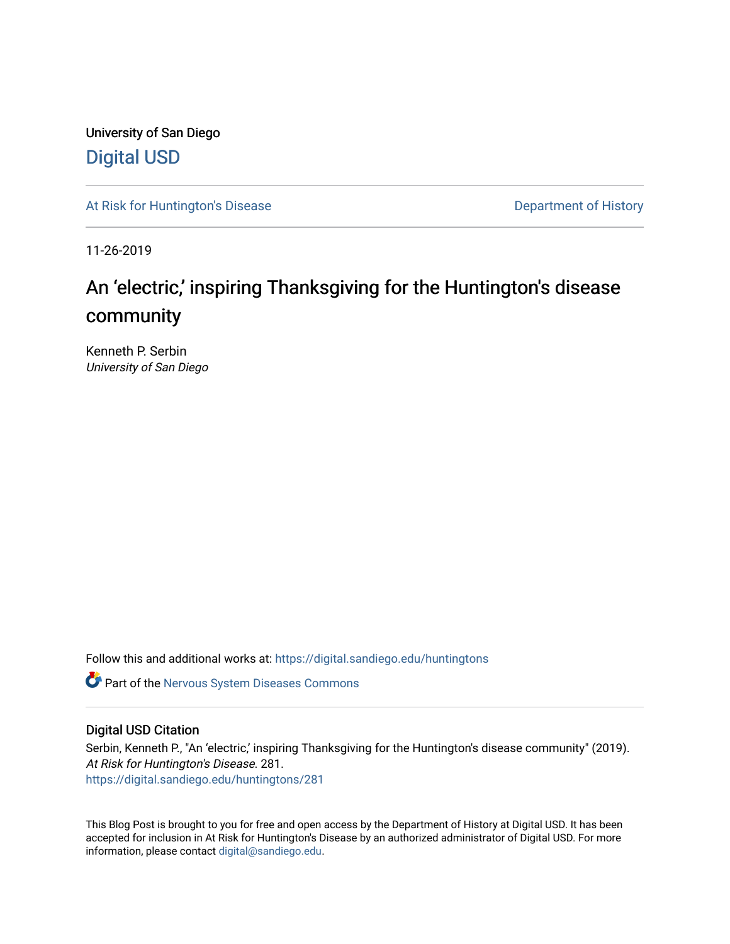University of San Diego [Digital USD](https://digital.sandiego.edu/)

[At Risk for Huntington's Disease](https://digital.sandiego.edu/huntingtons) **Department of History** Department of History

11-26-2019

# An 'electric,' inspiring Thanksgiving for the Huntington's disease community

Kenneth P. Serbin University of San Diego

Follow this and additional works at: [https://digital.sandiego.edu/huntingtons](https://digital.sandiego.edu/huntingtons?utm_source=digital.sandiego.edu%2Fhuntingtons%2F281&utm_medium=PDF&utm_campaign=PDFCoverPages)

**C** Part of the [Nervous System Diseases Commons](http://network.bepress.com/hgg/discipline/928?utm_source=digital.sandiego.edu%2Fhuntingtons%2F281&utm_medium=PDF&utm_campaign=PDFCoverPages)

## Digital USD Citation

Serbin, Kenneth P., "An 'electric,' inspiring Thanksgiving for the Huntington's disease community" (2019). At Risk for Huntington's Disease. 281. [https://digital.sandiego.edu/huntingtons/281](https://digital.sandiego.edu/huntingtons/281?utm_source=digital.sandiego.edu%2Fhuntingtons%2F281&utm_medium=PDF&utm_campaign=PDFCoverPages)

This Blog Post is brought to you for free and open access by the Department of History at Digital USD. It has been accepted for inclusion in At Risk for Huntington's Disease by an authorized administrator of Digital USD. For more information, please contact [digital@sandiego.edu.](mailto:digital@sandiego.edu)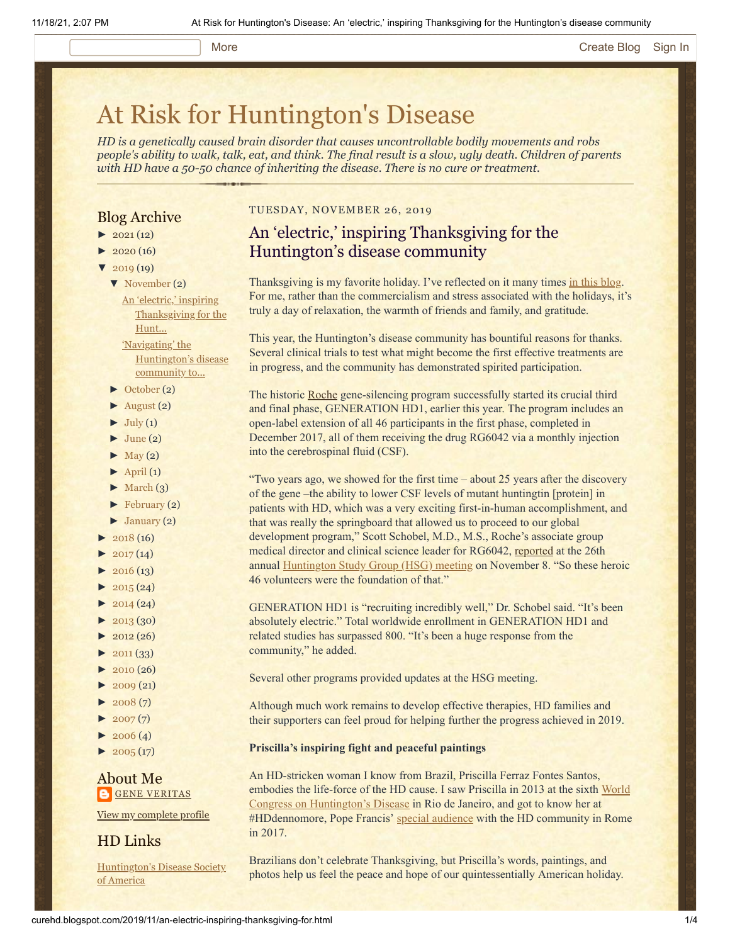#### More **[Create Blog](https://www.blogger.com/home#create) [Sign In](https://www.blogger.com/)**

# [At Risk for Huntington's Disease](http://curehd.blogspot.com/)

*HD is a genetically caused brain disorder that causes uncontrollable bodily movements and robs people's ability to walk, talk, eat, and think. The final result is a slow, ugly death. Children of parents with HD have a 50-50 chance of inheriting the disease. There is no cure or treatment.*

## Blog Archive

- $\blacktriangleright$  [2021](http://curehd.blogspot.com/2021/)(12)
- $2020(16)$  $2020(16)$
- $2019(19)$  $2019(19)$ 
	- [▼](javascript:void(0)) [November](http://curehd.blogspot.com/2019/11/) (2)

An 'electric,' inspiring [Thanksgiving](http://curehd.blogspot.com/2019/11/an-electric-inspiring-thanksgiving-for.html) for the Hunt... 'Navigating' the

[Huntington's](http://curehd.blogspot.com/2019/11/navigating-huntingtons-disease.html) disease community to...

- [►](javascript:void(0)) [October](http://curehd.blogspot.com/2019/10/) (2)
- $\blacktriangleright$  [August](http://curehd.blogspot.com/2019/08/) (2)
- $\blacktriangleright$  [July](http://curehd.blogspot.com/2019/07/) (1)
- $\blacktriangleright$  [June](http://curehd.blogspot.com/2019/06/) (2)
- $\blacktriangleright$  [May](http://curehd.blogspot.com/2019/05/) (2)
- $\blacktriangleright$  [April](http://curehd.blogspot.com/2019/04/) (1)
- $\blacktriangleright$  [March](http://curehd.blogspot.com/2019/03/) (3)
- [►](javascript:void(0)) [February](http://curehd.blogspot.com/2019/02/) (2)
- $\blacktriangleright$  [January](http://curehd.blogspot.com/2019/01/) (2)
- $\blacktriangleright$  [2018](http://curehd.blogspot.com/2018/) (16)
- $2017(14)$  $2017(14)$
- $2016(13)$  $2016(13)$
- $2015(24)$  $2015(24)$
- $\blacktriangleright$  [2014](http://curehd.blogspot.com/2014/) (24)
- $\blacktriangleright$  [2013](http://curehd.blogspot.com/2013/) (30)
- $\blacktriangleright$  [2012](http://curehd.blogspot.com/2012/) (26)
- $\blacktriangleright$  [2011](http://curehd.blogspot.com/2011/) (33)
- $-2010(26)$  $-2010(26)$  $-2010(26)$
- $\blacktriangleright$  [2009](http://curehd.blogspot.com/2009/) (21)
- $\blacktriangleright$  [2008](http://curehd.blogspot.com/2008/) $(7)$
- $\blacktriangleright$  [2007](http://curehd.blogspot.com/2007/) $(7)$
- $\blacktriangleright$  [2006](http://curehd.blogspot.com/2006/) (4)
- $\blacktriangleright$  [2005](http://curehd.blogspot.com/2005/) (17)

## About Me **GENE [VERITAS](https://www.blogger.com/profile/10911736205741688185)**

View my [complete](https://www.blogger.com/profile/10911736205741688185) profile

## HD Links

[Huntington's](http://www.hdsa.org/) Disease Society of America

## TUESDAY, NOVEMBER 26, 2019

## An 'electric,' inspiring Thanksgiving for the Huntington's disease community

Thanksgiving is my favorite holiday. I've reflected on it many times [in this blog.](http://curehd.blogspot.com/2009/11/smelling-flowers-at-thanksgiving.html) For me, rather than the commercialism and stress associated with the holidays, it's truly a day of relaxation, the warmth of friends and family, and gratitude.

This year, the Huntington's disease community has bountiful reasons for thanks. Several clinical trials to test what might become the first effective treatments are in progress, and the community has demonstrated spirited participation.

The historic [Roche](https://www.roche.com/) gene-silencing program successfully started its crucial third and final phase, GENERATION HD1, earlier this year. The program includes an open-label extension of all 46 participants in the first phase, completed in December 2017, all of them receiving the drug RG6042 via a monthly injection into the cerebrospinal fluid (CSF).

"Two years ago, we showed for the first time – about 25 years after the discovery of the gene –the ability to lower CSF levels of mutant huntingtin [protein] in patients with HD, which was a very exciting first-in-human accomplishment, and that was really the springboard that allowed us to proceed to our global development program," Scott Schobel, M.D., M.S., Roche's associate group medical director and clinical science leader for RG6042, [reported](https://vimeo.com/372696995) at the 26th annual [Huntington Study Group \(HSG\) meeting](http://curehd.blogspot.com/2019/11/navigating-huntingtons-disease.html) on November 8. "So these heroic 46 volunteers were the foundation of that."

GENERATION HD1 is "recruiting incredibly well," Dr. Schobel said. "It's been absolutely electric." Total worldwide enrollment in GENERATION HD1 and related studies has surpassed 800. "It's been a huge response from the community," he added.

- Several other programs provided updates at the HSG meeting.
- Although much work remains to develop effective therapies, HD families and their supporters can feel proud for helping further the progress achieved in 2019.
- **Priscilla's inspiring fight and peaceful paintings**

An HD-stricken woman I know from Brazil, Priscilla Ferraz Fontes Santos, [embodies the life-force of the HD cause. I saw Priscilla in 2013 at the sixth World](http://curehd.blogspot.com/2013/09/reaching-out-to-hd-family-at-world.html) Congress on Huntington's Disease in Rio de Janeiro, and got to know her at #HDdennomore, Pope Francis' [special audience](http://curehd.blogspot.com/2017/05/francis-made-day-of-superlatives-for.html) with the HD community in Rome in 2017.

Brazilians don't celebrate Thanksgiving, but Priscilla's words, paintings, and photos help us feel the peace and hope of our quintessentially American holiday.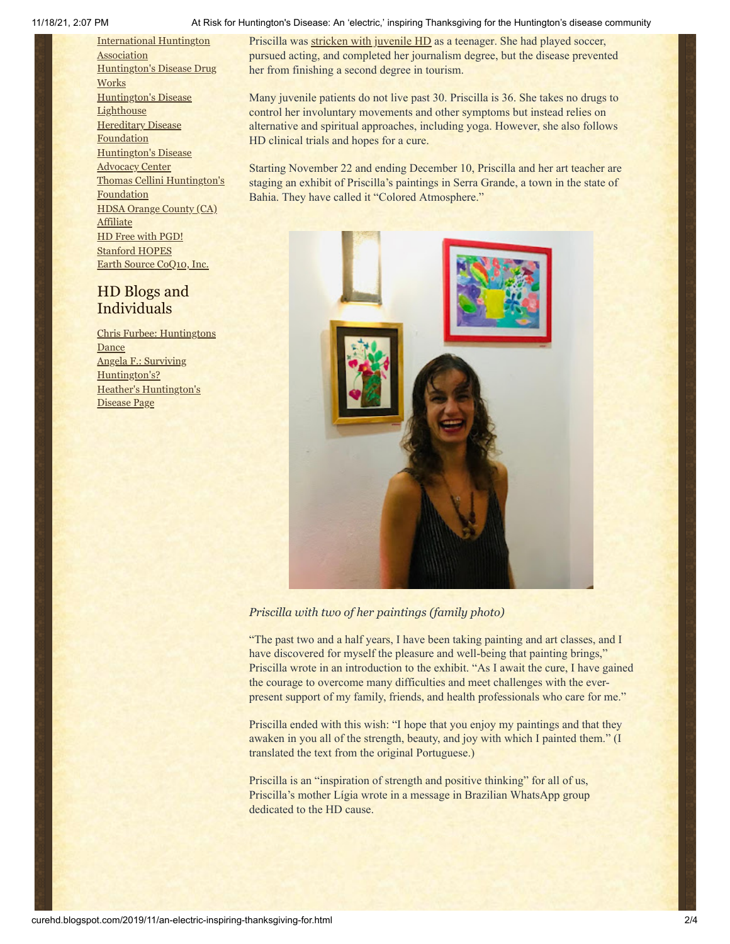[International](http://www.huntington-assoc.com/) Huntington Association [Huntington's](http://hddrugworks.org/) Disease Drug **Works** [Huntington's](http://www.hdlighthouse.org/) Disease **Lighthouse [Hereditary](http://www.hdfoundation.org/) Disease Foundation** [Huntington's](http://www.hdac.org/) Disease Advocacy Center Thomas [Cellini Huntington's](http://www.ourtchfoundation.org/) Foundation HDSA Orange County (CA) **[Affiliate](http://www.hdsaoc.org/)** HD Free with [PGD!](http://www.hdfreewithpgd.com/) [Stanford](http://www.stanford.edu/group/hopes/) HOPES Earth Source [CoQ10,](http://www.escoq10.com/) Inc.

## HD Blogs and Individuals

Chris Furbee: [Huntingtons](http://www.huntingtonsdance.org/) Dance Angela F.: Surviving [Huntington's?](http://survivinghuntingtons.blogspot.com/) Heather's [Huntington's](http://heatherdugdale.angelfire.com/) Disease Page

#### 11/18/21, 2:07 PM At Risk for Huntington's Disease: An 'electric,' inspiring Thanksgiving for the Huntington's disease community

Priscilla was [stricken with juvenile HD](https://piaui.folha.uol.com.br/materia/dancando-no-escuro/) as a teenager. She had played soccer, pursued acting, and completed her journalism degree, but the disease prevented her from finishing a second degree in tourism.

Many juvenile patients do not live past 30. Priscilla is 36. She takes no drugs to control her involuntary movements and other symptoms but instead relies on alternative and spiritual approaches, including yoga. However, she also follows HD clinical trials and hopes for a cure.

Starting November 22 and ending December 10, Priscilla and her art teacher are staging an exhibit of Priscilla's paintings in Serra Grande, a town in the state of Bahia. They have called it "Colored Atmosphere."



## *Priscilla with two of her paintings (family photo)*

"The past two and a half years, I have been taking painting and art classes, and I have discovered for myself the pleasure and well-being that painting brings," Priscilla wrote in an introduction to the exhibit. "As I await the cure, I have gained the courage to overcome many difficulties and meet challenges with the everpresent support of my family, friends, and health professionals who care for me."

Priscilla ended with this wish: "I hope that you enjoy my paintings and that they awaken in you all of the strength, beauty, and joy with which I painted them." (I translated the text from the original Portuguese.)

Priscilla is an "inspiration of strength and positive thinking" for all of us, Priscilla's mother Lígia wrote in a message in Brazilian WhatsApp group dedicated to the HD cause.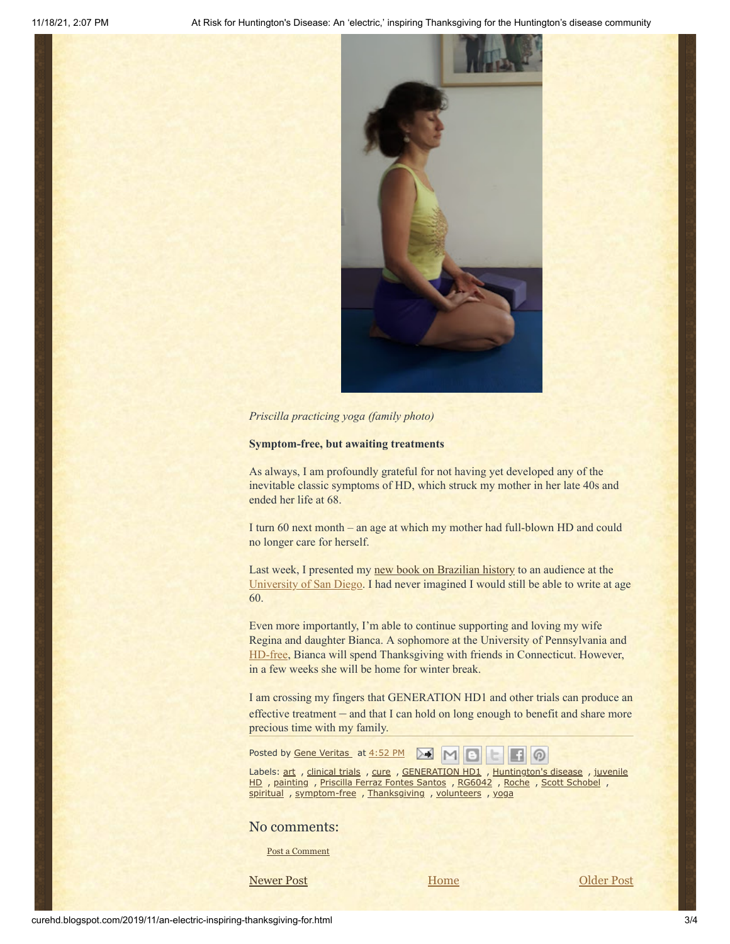

#### *Priscilla practicing yoga (family photo)*

#### **Symptom-free, but awaiting treatments**

As always, I am profoundly grateful for not having yet developed any of the inevitable classic symptoms of HD, which struck my mother in her late 40s and ended her life at 68.

I turn 60 next month – an age at which my mother had full-blown HD and could no longer care for herself.

Last week, I presented my [new book on Brazilian history](https://undpress.nd.edu/9780268105853/from-revolution-to-power-in-brazil/) to an audience at the [University of San Diego](https://www.sandiego.edu/). I had never imagined I would still be able to write at age 60.

Even more importantly, I'm able to continue supporting and loving my wife Regina and daughter Bianca. A sophomore at the University of Pennsylvania and [HD-free](http://curehd.blogspot.com/2018/05/free-from-threat-of-huntingtons-disease.html), Bianca will spend Thanksgiving with friends in Connecticut. However, in a few weeks she will be home for winter break.

I am crossing my fingers that GENERATION HD1 and other trials can produce an effective treatment – and that I can hold on long enough to benefit and share more precious time with my family.

| Posted by Gene Veritas_ at 4:52 PM M M B C |  |  |  |  |  |  |  |
|--------------------------------------------|--|--|--|--|--|--|--|
|--------------------------------------------|--|--|--|--|--|--|--|

Labels: [art](http://curehd.blogspot.com/search/label/art) , [clinical](http://curehd.blogspot.com/search/label/clinical%20trials) trials , [cure](http://curehd.blogspot.com/search/label/cure) , [GENERATION](http://curehd.blogspot.com/search/label/GENERATION%20HD1) HD1 , [Huntington's](http://curehd.blogspot.com/search/label/Huntington%27s%20disease) disease , juvenile HD, [painting](http://curehd.blogspot.com/search/label/painting), [Priscilla](http://curehd.blogspot.com/search/label/Priscilla%20Ferraz%20Fontes%20Santos) Ferraz Fontes Santos, [RG6042](http://curehd.blogspot.com/search/label/RG6042), [Roche](http://curehd.blogspot.com/search/label/Roche), Scott [Schobel](http://curehd.blogspot.com/search/label/Scott%20Schobel), [spiritual](http://curehd.blogspot.com/search/label/spiritual) , [symptom-free](http://curehd.blogspot.com/search/label/symptom-free) , [Thanksgiving](http://curehd.blogspot.com/search/label/Thanksgiving) , [volunteers](http://curehd.blogspot.com/search/label/volunteers) , [yoga](http://curehd.blogspot.com/search/label/yoga)

### No comments:

Post a [Comment](https://www.blogger.com/comment.g?blogID=10081281&postID=4104182435293361003&isPopup=true)

[Newer Post](http://curehd.blogspot.com/2020/01/planning-dancing-at-vatican-screening.html) **Newer Post COLDER 1988 MODEL RESERVE POST**  [Older Post](http://curehd.blogspot.com/2019/11/navigating-huntingtons-disease.html)